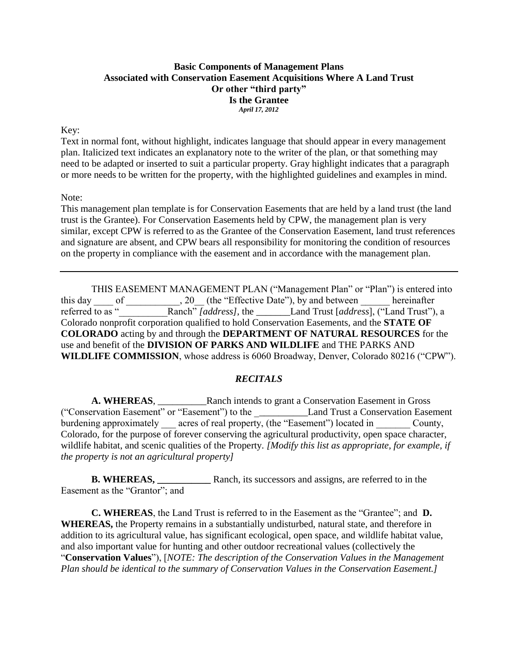### **Basic Components of Management Plans Associated with Conservation Easement Acquisitions Where A Land Trust Or other "third party" Is the Grantee** *April 17, 2012*

### Key:

Text in normal font, without highlight, indicates language that should appear in every management plan. Italicized text indicates an explanatory note to the writer of the plan, or that something may need to be adapted or inserted to suit a particular property. Gray highlight indicates that a paragraph or more needs to be written for the property, with the highlighted guidelines and examples in mind.

### Note:

This management plan template is for Conservation Easements that are held by a land trust (the land trust is the Grantee). For Conservation Easements held by CPW, the management plan is very similar, except CPW is referred to as the Grantee of the Conservation Easement, land trust references and signature are absent, and CPW bears all responsibility for monitoring the condition of resources on the property in compliance with the easement and in accordance with the management plan.

THIS EASEMENT MANAGEMENT PLAN ("Management Plan" or "Plan") is entered into this day \_\_\_\_ of \_\_\_\_\_\_\_\_\_\_\_, 20\_\_ (the "Effective Date"), by and between \_\_\_\_\_\_ hereinafter referred to as "<sup>Tranch"</sup> *[address]*, the <u>Canal Trust [address]</u>, ("Land Trust"), a Colorado nonprofit corporation qualified to hold Conservation Easements, and the **STATE OF COLORADO** acting by and through the **DEPARTMENT OF NATURAL RESOURCES** for the use and benefit of the **DIVISION OF PARKS AND WILDLIFE** and THE PARKS AND **WILDLIFE COMMISSION**, whose address is 6060 Broadway, Denver, Colorado 80216 ("CPW").

# *RECITALS*

A. WHEREAS, Ranch intends to grant a Conservation Easement in Gross ("Conservation Easement" or "Easement") to the \_\_\_\_\_\_\_\_\_\_\_Land Trust a Conservation Easement burdening approximately \_\_\_\_ acres of real property, (the "Easement") located in County, Colorado, for the purpose of forever conserving the agricultural productivity, open space character, wildlife habitat, and scenic qualities of the Property. *[Modify this list as appropriate, for example, if the property is not an agricultural property]* 

**B. WHEREAS, \_\_\_\_\_\_\_\_\_\_\_** Ranch, its successors and assigns, are referred to in the Easement as the "Grantor"; and

**C. WHEREAS**, the Land Trust is referred to in the Easement as the "Grantee"; and **D. WHEREAS,** the Property remains in a substantially undisturbed, natural state, and therefore in addition to its agricultural value, has significant ecological, open space, and wildlife habitat value, and also important value for hunting and other outdoor recreational values (collectively the "**Conservation Values**"), [*NOTE: The description of the Conservation Values in the Management Plan should be identical to the summary of Conservation Values in the Conservation Easement.]*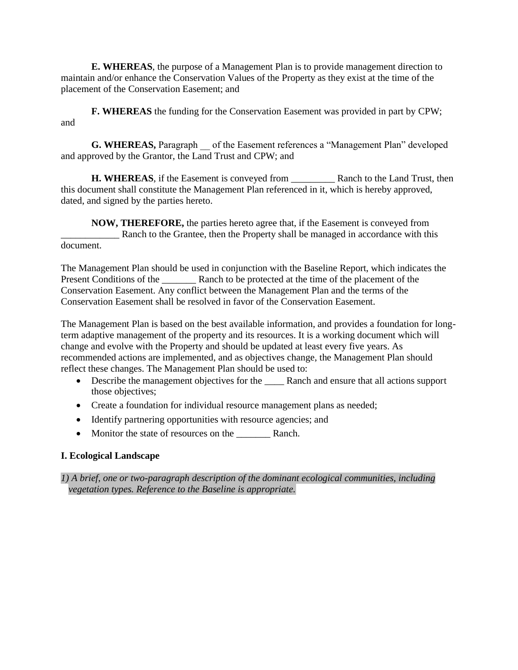**E. WHEREAS**, the purpose of a Management Plan is to provide management direction to maintain and/or enhance the Conservation Values of the Property as they exist at the time of the placement of the Conservation Easement; and

**F. WHEREAS** the funding for the Conservation Easement was provided in part by CPW; and

**G. WHEREAS, Paragraph** of the Easement references a "Management Plan" developed and approved by the Grantor, the Land Trust and CPW; and

**H. WHEREAS**, if the Easement is conveyed from Ranch to the Land Trust, then this document shall constitute the Management Plan referenced in it, which is hereby approved, dated, and signed by the parties hereto.

**NOW, THEREFORE,** the parties hereto agree that, if the Easement is conveyed from Ranch to the Grantee, then the Property shall be managed in accordance with this document.

The Management Plan should be used in conjunction with the Baseline Report, which indicates the Present Conditions of the \_\_\_\_\_\_\_\_\_\_ Ranch to be protected at the time of the placement of the Conservation Easement. Any conflict between the Management Plan and the terms of the Conservation Easement shall be resolved in favor of the Conservation Easement.

The Management Plan is based on the best available information, and provides a foundation for longterm adaptive management of the property and its resources. It is a working document which will change and evolve with the Property and should be updated at least every five years. As recommended actions are implemented, and as objectives change, the Management Plan should reflect these changes. The Management Plan should be used to:

- Describe the management objectives for the \_\_\_\_\_\_\_ Ranch and ensure that all actions support those objectives;
- Create a foundation for individual resource management plans as needed;
- Identify partnering opportunities with resource agencies; and
- Monitor the state of resources on the Ranch.

# **I. Ecological Landscape**

*1) A brief, one or two-paragraph description of the dominant ecological communities, including vegetation types. Reference to the Baseline is appropriate.*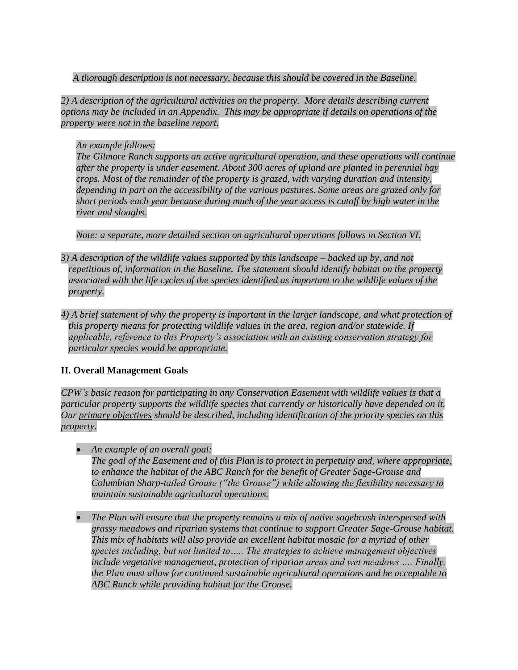*A thorough description is not necessary, because this should be covered in the Baseline.* 

*2) A description of the agricultural activities on the property. More details describing current options may be included in an Appendix. This may be appropriate if details on operations of the property were not in the baseline report.*

*An example follows:* 

*The Gilmore Ranch supports an active agricultural operation, and these operations will continue after the property is under easement. About 300 acres of upland are planted in perennial hay crops. Most of the remainder of the property is grazed, with varying duration and intensity, depending in part on the accessibility of the various pastures. Some areas are grazed only for short periods each year because during much of the year access is cutoff by high water in the river and sloughs.* 

*Note: a separate, more detailed section on agricultural operations follows in Section VI.* 

- *3) A description of the wildlife values supported by this landscape – backed up by, and not repetitious of, information in the Baseline. The statement should identify habitat on the property associated with the life cycles of the species identified as important to the wildlife values of the property.*
- *4) A brief statement of why the property is important in the larger landscape, and what protection of this property means for protecting wildlife values in the area, region and/or statewide. If applicable, reference to this Property's association with an existing conservation strategy for particular species would be appropriate.*

# **II. Overall Management Goals**

*CPW's basic reason for participating in any Conservation Easement with wildlife values is that a particular property supports the wildlife species that currently or historically have depended on it. Our primary objectives should be described, including identification of the priority species on this property.*

- *An example of an overall goal: The goal of the Easement and of this Plan is to protect in perpetuity and, where appropriate, to enhance the habitat of the ABC Ranch for the benefit of Greater Sage-Grouse and Columbian Sharp-tailed Grouse ("the Grouse") while allowing the flexibility necessary to maintain sustainable agricultural operations.*
- *The Plan will ensure that the property remains a mix of native sagebrush interspersed with grassy meadows and riparian systems that continue to support Greater Sage-Grouse habitat. This mix of habitats will also provide an excellent habitat mosaic for a myriad of other species including, but not limited to….. The strategies to achieve management objectives include vegetative management, protection of riparian areas and wet meadows …. Finally, the Plan must allow for continued sustainable agricultural operations and be acceptable to ABC Ranch while providing habitat for the Grouse.*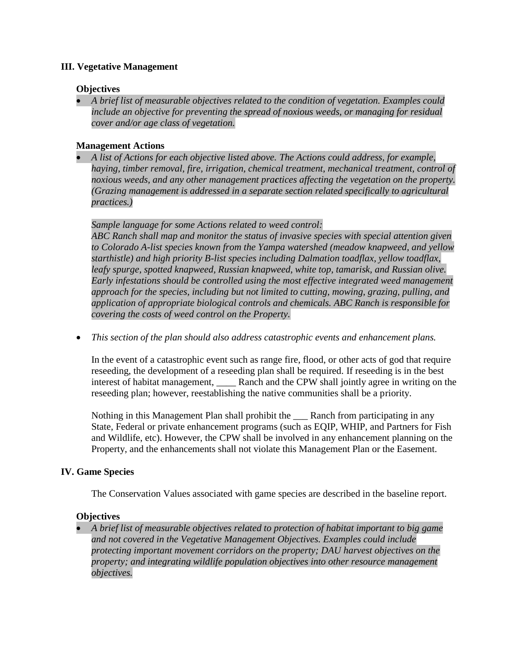# **III. Vegetative Management**

### **Objectives**

 *A brief list of measurable objectives related to the condition of vegetation. Examples could include an objective for preventing the spread of noxious weeds, or managing for residual cover and/or age class of vegetation.* 

## **Management Actions**

 *A list of Actions for each objective listed above. The Actions could address, for example, haying, timber removal, fire, irrigation, chemical treatment, mechanical treatment, control of noxious weeds, and any other management practices affecting the vegetation on the property. (Grazing management is addressed in a separate section related specifically to agricultural practices.)* 

# *Sample language for some Actions related to weed control:*

*ABC Ranch shall map and monitor the status of invasive species with special attention given to Colorado A-list species known from the Yampa watershed (meadow knapweed, and yellow starthistle) and high priority B-list species including Dalmation toadflax, yellow toadflax, leafy spurge, spotted knapweed, Russian knapweed, white top, tamarisk, and Russian olive. Early infestations should be controlled using the most effective integrated weed management approach for the species, including but not limited to cutting, mowing, grazing, pulling, and application of appropriate biological controls and chemicals. ABC Ranch is responsible for covering the costs of weed control on the Property.*

*This section of the plan should also address catastrophic events and enhancement plans.* 

In the event of a catastrophic event such as range fire, flood, or other acts of god that require reseeding, the development of a reseeding plan shall be required. If reseeding is in the best interest of habitat management, also know and the CPW shall jointly agree in writing on the reseeding plan; however, reestablishing the native communities shall be a priority.

Nothing in this Management Plan shall prohibit the \_\_\_ Ranch from participating in any State, Federal or private enhancement programs (such as EQIP, WHIP, and Partners for Fish and Wildlife, etc). However, the CPW shall be involved in any enhancement planning on the Property, and the enhancements shall not violate this Management Plan or the Easement.

# **IV. Game Species**

The Conservation Values associated with game species are described in the baseline report.

# **Objectives**

 *A brief list of measurable objectives related to protection of habitat important to big game and not covered in the Vegetative Management Objectives. Examples could include protecting important movement corridors on the property; DAU harvest objectives on the property; and integrating wildlife population objectives into other resource management objectives.*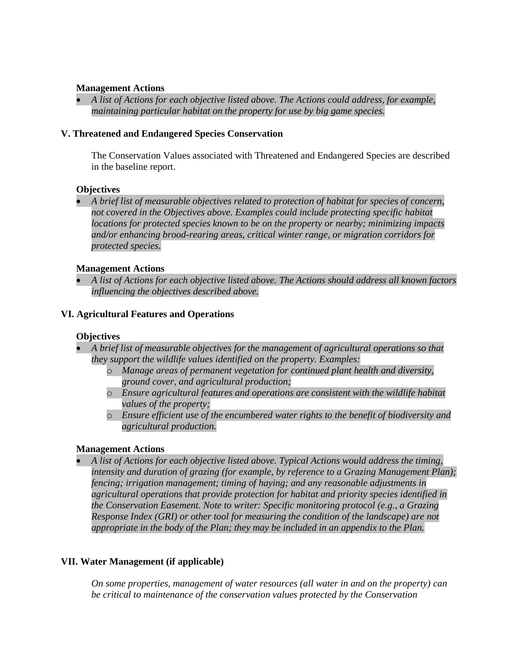### **Management Actions**

 *A list of Actions for each objective listed above. The Actions could address, for example, maintaining particular habitat on the property for use by big game species.* 

### **V. Threatened and Endangered Species Conservation**

The Conservation Values associated with Threatened and Endangered Species are described in the baseline report.

#### **Objectives**

 *A brief list of measurable objectives related to protection of habitat for species of concern, not covered in the Objectives above. Examples could include protecting specific habitat locations for protected species known to be on the property or nearby; minimizing impacts and/or enhancing brood-rearing areas, critical winter range, or migration corridors for protected species.* 

#### **Management Actions**

 *A list of Actions for each objective listed above. The Actions should address all known factors influencing the objectives described above.* 

### **VI. Agricultural Features and Operations**

#### **Objectives**

- *A brief list of measurable objectives for the management of agricultural operations so that they support the wildlife values identified on the property. Examples:* 
	- o *Manage areas of permanent vegetation for continued plant health and diversity, ground cover, and agricultural production;*
	- o *Ensure agricultural features and operations are consistent with the wildlife habitat values of the property;*
	- o *Ensure efficient use of the encumbered water rights to the benefit of biodiversity and agricultural production.*

#### **Management Actions**

 *A list of Actions for each objective listed above. Typical Actions would address the timing, intensity and duration of grazing (for example, by reference to a Grazing Management Plan); fencing; irrigation management; timing of haying; and any reasonable adjustments in agricultural operations that provide protection for habitat and priority species identified in the Conservation Easement. Note to writer: Specific monitoring protocol (e.g., a Grazing Response Index (GRI) or other tool for measuring the condition of the landscape) are not appropriate in the body of the Plan; they may be included in an appendix to the Plan.* 

# **VII. Water Management (if applicable)**

*On some properties, management of water resources (all water in and on the property) can be critical to maintenance of the conservation values protected by the Conservation*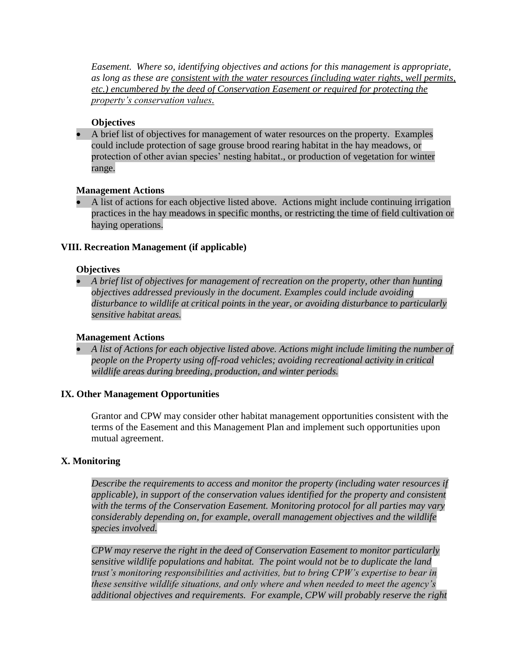*Easement. Where so, identifying objectives and actions for this management is appropriate, as long as these are consistent with the water resources (including water rights, well permits, etc.) encumbered by the deed of Conservation Easement or required for protecting the property's conservation values.*

## **Objectives**

 A brief list of objectives for management of water resources on the property. Examples could include protection of sage grouse brood rearing habitat in the hay meadows, or protection of other avian species' nesting habitat., or production of vegetation for winter range.

### **Management Actions**

 A list of actions for each objective listed above. Actions might include continuing irrigation practices in the hay meadows in specific months, or restricting the time of field cultivation or haying operations.

# **VIII. Recreation Management (if applicable)**

#### **Objectives**

 *A brief list of objectives for management of recreation on the property, other than hunting objectives addressed previously in the document. Examples could include avoiding disturbance to wildlife at critical points in the year, or avoiding disturbance to particularly sensitive habitat areas.* 

### **Management Actions**

 *A list of Actions for each objective listed above. Actions might include limiting the number of people on the Property using off-road vehicles; avoiding recreational activity in critical wildlife areas during breeding, production, and winter periods.* 

#### **IX. Other Management Opportunities**

Grantor and CPW may consider other habitat management opportunities consistent with the terms of the Easement and this Management Plan and implement such opportunities upon mutual agreement.

# **X. Monitoring**

*Describe the requirements to access and monitor the property (including water resources if applicable), in support of the conservation values identified for the property and consistent with the terms of the Conservation Easement. Monitoring protocol for all parties may vary considerably depending on, for example, overall management objectives and the wildlife species involved.* 

*CPW may reserve the right in the deed of Conservation Easement to monitor particularly sensitive wildlife populations and habitat. The point would not be to duplicate the land trust's monitoring responsibilities and activities, but to bring CPW's expertise to bear in these sensitive wildlife situations, and only where and when needed to meet the agency's additional objectives and requirements. For example, CPW will probably reserve the right*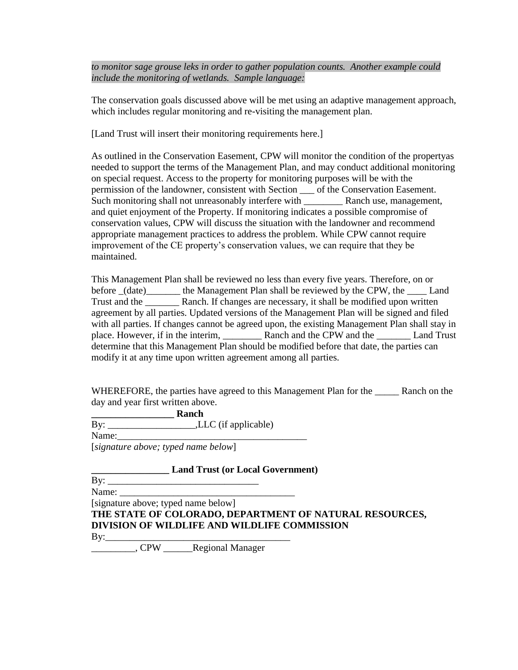*to monitor sage grouse leks in order to gather population counts. Another example could include the monitoring of wetlands. Sample language:*

The conservation goals discussed above will be met using an adaptive management approach, which includes regular monitoring and re-visiting the management plan.

[Land Trust will insert their monitoring requirements here.]

As outlined in the Conservation Easement, CPW will monitor the condition of the propertyas needed to support the terms of the Management Plan, and may conduct additional monitoring on special request. Access to the property for monitoring purposes will be with the permission of the landowner, consistent with Section \_\_\_ of the Conservation Easement. Such monitoring shall not unreasonably interfere with Ranch use, management, and quiet enjoyment of the Property. If monitoring indicates a possible compromise of conservation values, CPW will discuss the situation with the landowner and recommend appropriate management practices to address the problem. While CPW cannot require improvement of the CE property's conservation values, we can require that they be maintained.

This Management Plan shall be reviewed no less than every five years. Therefore, on or before  $(date)$  the Management Plan shall be reviewed by the CPW, the \_\_\_\_ Land Trust and the \_\_\_\_\_\_\_ Ranch. If changes are necessary, it shall be modified upon written agreement by all parties. Updated versions of the Management Plan will be signed and filed with all parties. If changes cannot be agreed upon, the existing Management Plan shall stay in place. However, if in the interim, \_\_\_\_\_\_\_\_ Ranch and the CPW and the \_\_\_\_\_\_\_ Land Trust determine that this Management Plan should be modified before that date, the parties can modify it at any time upon written agreement among all parties.

WHEREFORE, the parties have agreed to this Management Plan for the \_\_\_\_\_\_\_ Ranch on the day and year first written above.

**\_\_\_\_\_\_\_\_\_\_\_\_\_\_\_\_\_ Ranch** 

By: \_\_\_\_\_\_\_\_\_\_\_\_\_\_\_\_\_\_,LLC (if applicable)

Name:

[*signature above; typed name below*]

**\_\_\_\_\_\_\_\_\_\_\_\_\_\_\_\_ Land Trust (or Local Government)** 

| By: |  |
|-----|--|
|-----|--|

Name: [signature above; typed name below]

**THE STATE OF COLORADO, DEPARTMENT OF NATURAL RESOURCES, DIVISION OF WILDLIFE AND WILDLIFE COMMISSION** 

By:\_\_\_\_\_\_\_\_\_\_\_\_\_\_\_\_\_\_\_\_\_\_\_\_\_\_\_\_\_\_\_\_\_\_\_\_\_\_

\_\_\_\_\_\_\_\_\_, CPW \_\_\_\_\_\_Regional Manager